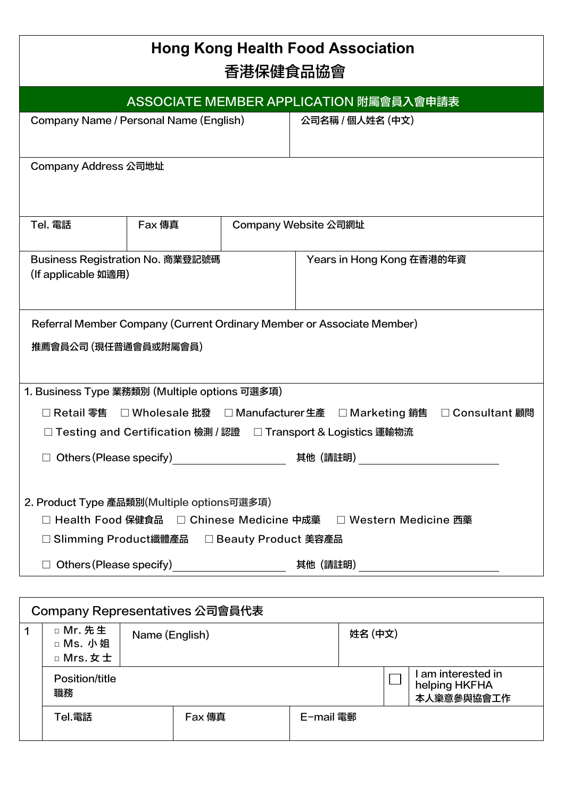| <b>Hong Kong Health Food Association</b><br>香港保健食品協會                                                                                                             |                                        |  |                      |  |  |
|------------------------------------------------------------------------------------------------------------------------------------------------------------------|----------------------------------------|--|----------------------|--|--|
|                                                                                                                                                                  | ASSOCIATE MEMBER APPLICATION 附屬會員入會申請表 |  |                      |  |  |
| Company Name / Personal Name (English)<br>公司名稱 / 個人姓名 (中文)                                                                                                       |                                        |  |                      |  |  |
| Company Address 公司地址                                                                                                                                             |                                        |  |                      |  |  |
| Tel. 電話                                                                                                                                                          | <b>Fax 傳真</b>                          |  | Company Website 公司網址 |  |  |
| Business Registration No. 商業登記號碼<br>Years in Hong Kong 在香港的年資<br>(If applicable 如適用)                                                                             |                                        |  |                      |  |  |
| Referral Member Company (Current Ordinary Member or Associate Member)<br>推薦會員公司 (現任普通會員或附屬會員)                                                                    |                                        |  |                      |  |  |
| 1. Business Type 業務類別 (Multiple options 可選多項)                                                                                                                    |                                        |  |                      |  |  |
| □ Retail 零售 □ Wholesale 批發 □ Manufacturer 生產 □ Marketing 銷售 □ Consultant 顧問                                                                                      |                                        |  |                      |  |  |
| □ Testing and Certification 檢測 / 認證 □ Transport & Logistics 運輸物流                                                                                                 |                                        |  |                      |  |  |
| $\Box$ Others (Please specify)<br>其他(請註明)                                                                                                                        |                                        |  |                      |  |  |
| 2. Product Type 產品類別(Multiple options可選多項)<br>□ Health Food 保健食品  □ Chinese Medicine 中成藥   □ Western Medicine 西藥<br>□ Slimming Product纖體產品 □ Beauty Product 美容產品 |                                        |  |                      |  |  |
|                                                                                                                                                                  |                                        |  | 其他 (請註明) __          |  |  |

|   | Company Representatives 公司會員代表    |                |        |  |           |         |                                                   |
|---|-----------------------------------|----------------|--------|--|-----------|---------|---------------------------------------------------|
| 1 | □ Mr. 先生<br>□ Ms. 小姐<br>□ Mrs. 女士 | Name (English) |        |  |           | 姓名 (中文) |                                                   |
|   | Position/title<br>職務              |                |        |  |           |         | l am interested in<br>helping HKFHA<br>本人樂意參與協會工作 |
|   | Tel.電話                            |                | Fax 傳真 |  | E−mail 電郵 |         |                                                   |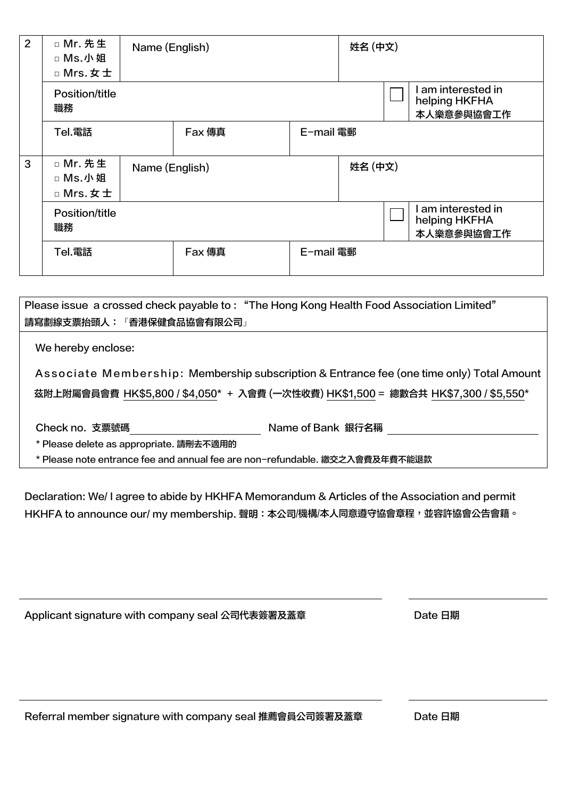| 2 | □ Mr. 先生<br>□ Ms.小姐<br>□ Mrs. 女士 | Name (English) |               |           | 姓名 (中文) |  |                                                 |
|---|----------------------------------|----------------|---------------|-----------|---------|--|-------------------------------------------------|
|   | Position/title<br>職務             |                |               |           |         |  | am interested in<br>helping HKFHA<br>本人樂意參與協會工作 |
|   | Tel.電話                           |                | <b>Fax</b> 傳真 | E-mail 電郵 |         |  |                                                 |
| 3 | □ Mr. 先生<br>□ Ms.小姐<br>□ Mrs. 女士 | Name (English) |               |           | 姓名 (中文) |  |                                                 |
|   | Position/title<br>職務             |                |               |           |         |  | am interested in<br>helping HKFHA<br>本人樂意參與協會工作 |
|   | Tel.電話                           |                | <b>Fax</b> 傳真 | E-mail 電郵 |         |  |                                                 |

| Please issue a crossed check payable to: "The Hong Kong Health Food Association Limited"  |                                                                                    |  |  |  |
|-------------------------------------------------------------------------------------------|------------------------------------------------------------------------------------|--|--|--|
| <b>請寫劃線支票抬頭人:『香港保健食品協會有限公司』</b>                                                           |                                                                                    |  |  |  |
| We hereby enclose:                                                                        |                                                                                    |  |  |  |
| Associate Membership: Membership subscription & Entrance fee (one time only) Total Amount |                                                                                    |  |  |  |
|                                                                                           | 茲附上附屬會員會費 HK\$5,800 / \$4,050* + 入會費 (一次性收費) HK\$1,500 = 總數合共 HK\$7,300 / \$5,550* |  |  |  |
| Check no. 支票號碼                                                                            | Name of Bank 銀行名稱                                                                  |  |  |  |
| * Please delete as appropriate. 請刪去不適用的                                                   |                                                                                    |  |  |  |

\* Please note entrance fee and annual fee are non-refundable. 繳交之入會費及年費不能退款

Declaration: We/ I agree to abide by HKHFA Memorandum & Articles of the Association and permit HKHFA to announce our/ my membership. 聲明: 本公司/機構/本人同意遵守協會章程, 並容許協會公告會籍。

| Applicant signature with company seal 公司代表簽署及蓋章 | Date 日期 |
|-------------------------------------------------|---------|
|-------------------------------------------------|---------|

Referral member signature with company seal 推薦會員公司簽署及蓋章 Date 日期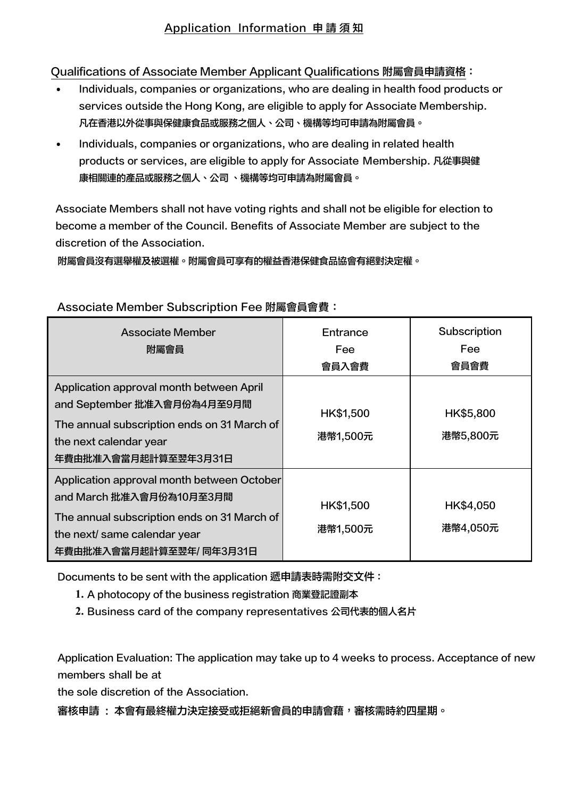## Qualifications of Associate Member Applicant Qualifications 附屬會員申請資格:

- Individuals, companies or organizations, who are dealing in health food products or services outside the Hong Kong, are eligible to apply for Associate Membership. 凡在香港以外從事與保健康食品或服務之個人、公司、機構等均可申請為附屬會員。
- Individuals, companies or organizations, who are dealing in related health products or services, are eligible to apply for Associate Membership. 凡從事與健 康相關連的產品或服務之個人、公司 、機構等均可申請為附屬會員。

Associate Members shall not have voting rights and shall not be eligible for election to become a member of the Council. Benefits of Associate Member are subject to the discretion of the Association.

附屬會員沒有選舉權及被選權。附屬會員可享有的權益香港保健食品協會有絕對決定權。

| Associate Member<br>附屬會員                                                                                                                                                         | Entrance<br><b>Fee</b><br>會員入會費 | Subscription<br><b>Fee</b><br>會員會費 |
|----------------------------------------------------------------------------------------------------------------------------------------------------------------------------------|---------------------------------|------------------------------------|
| Application approval month between April<br>and September 批准入會月份為4月至9月間<br>The annual subscription ends on 31 March of<br>the next calendar year<br>年費由批准入會當月起計算至翌年3月31日         | HK\$1,500<br>港幣1,500元           | HK\$5,800<br>港幣5,800元              |
| Application approval month between October<br>and March 批准入會月份為10月至3月間<br>The annual subscription ends on 31 March of<br>the next/ same calendar year<br>年費由批准入會當月起計算至翌年/同年3月31日 | HK\$1,500<br>港幣1,500元           | HK\$4,050<br>港幣4,050元              |

## Associate Member Subscription Fee 附屬會員會費:

Documents to be sent with the application 遞申請表時需附交文件:

- **1.** A photocopy of the business registration 商業登記證副本
- **2.** Business card of the company representatives 公司代表的個人名片

Application Evaluation: The application may take up to 4 weeks to process. Acceptance of new members shall be at

the sole discretion of the Association.

審核申請 : 本會有最終權力決定接受或拒絕新會員的申請會藉,審核需時約四星期。